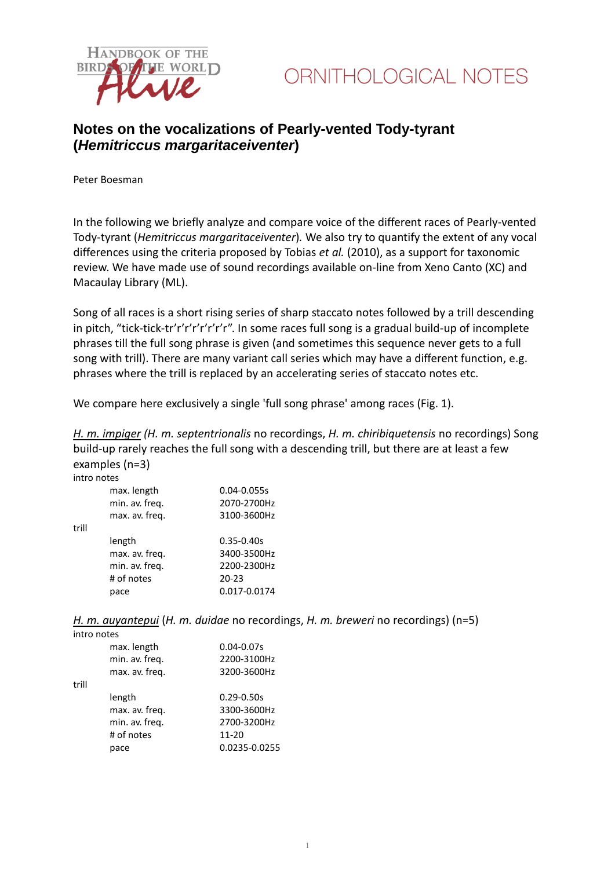

### **Notes on the vocalizations of Pearly-vented Tody-tyrant (***Hemitriccus margaritaceiventer***)**

Peter Boesman

In the following we briefly analyze and compare voice of the different races of Pearly-vented Tody-tyrant (*Hemitriccus margaritaceiventer*)*.* We also try to quantify the extent of any vocal differences using the criteria proposed by Tobias *et al.* (2010), as a support for taxonomic review. We have made use of sound recordings available on-line from Xeno Canto (XC) and Macaulay Library (ML).

Song of all races is a short rising series of sharp staccato notes followed by a trill descending in pitch, "tick-tick-tr'r'r'r'r'r'r'r". In some races full song is a gradual build-up of incomplete phrases till the full song phrase is given (and sometimes this sequence never gets to a full song with trill). There are many variant call series which may have a different function, e.g. phrases where the trill is replaced by an accelerating series of staccato notes etc.

We compare here exclusively a single 'full song phrase' among races (Fig. 1).

*H. m. impiger (H. m. septentrionalis* no recordings, *H. m. chiribiquetensis* no recordings) Song build-up rarely reaches the full song with a descending trill, but there are at least a few examples (n=3)

| intro notes |                |                |
|-------------|----------------|----------------|
|             | max. length    | 0.04-0.055s    |
|             | min. av. freq. | 2070-2700Hz    |
|             | max. av. freq. | 3100-3600Hz    |
| trill       |                |                |
|             | length         | $0.35 - 0.40s$ |
|             | max. av. freq. | 3400-3500Hz    |
|             | min. av. freq. | 2200-2300Hz    |
|             | # of notes     | $20 - 23$      |
|             | pace           | 0.017-0.0174   |

*H. m. auyantepui* (*H. m. duidae* no recordings, *H. m. breweri* no recordings) (n=5)

| intro notes |                |                |
|-------------|----------------|----------------|
|             | max. length    | $0.04 - 0.07s$ |
|             | min. av. freq. | 2200-3100Hz    |
|             | max. av. freq. | 3200-3600Hz    |
| trill       |                |                |
|             | length         | $0.29 - 0.50s$ |
|             | max. av. freq. | 3300-3600Hz    |
|             | min. av. freq. | 2700-3200Hz    |
|             | # of notes     | 11-20          |
|             | pace           | 0.0235-0.0255  |
|             |                |                |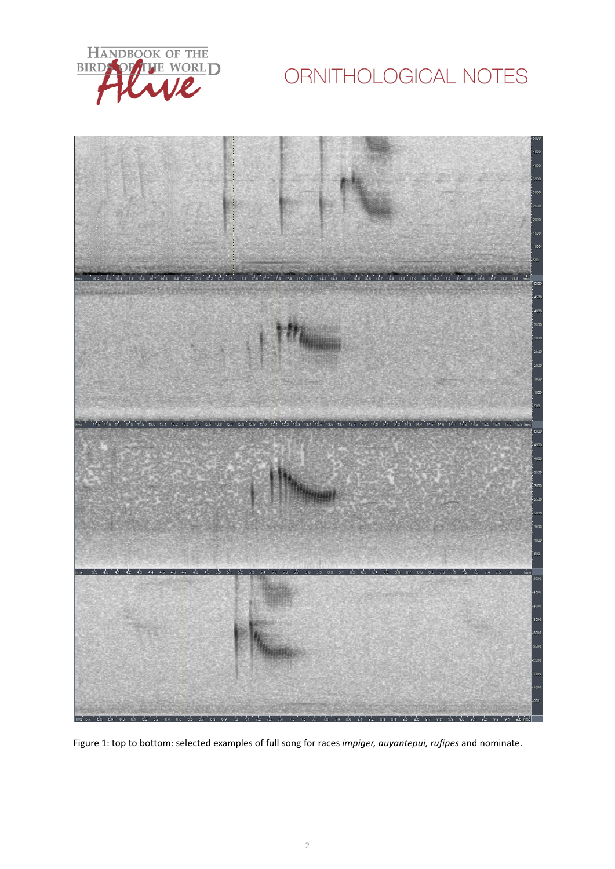

# ORNITHOLOGICAL NOTES



Figure 1: top to bottom: selected examples of full song for races *impiger, auyantepui, rufipes* and nominate.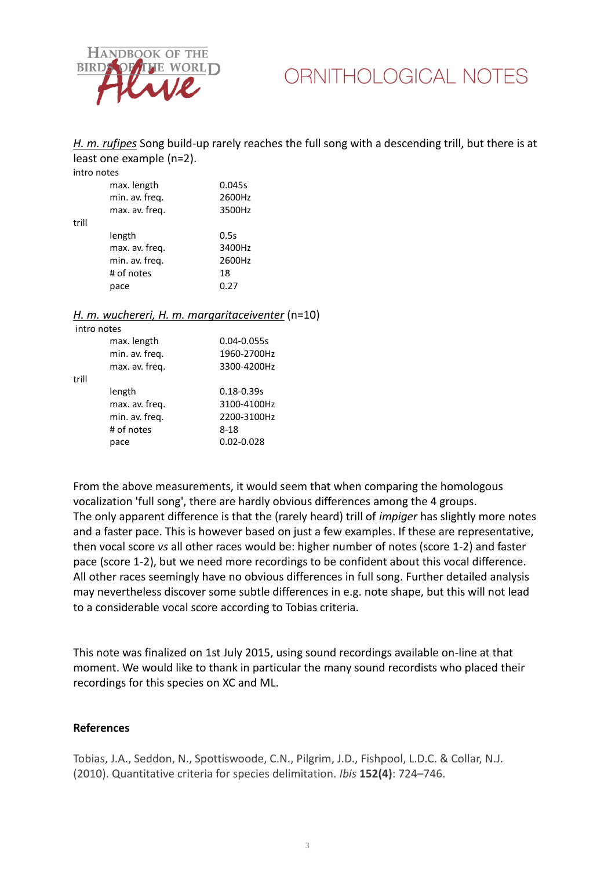

### ORNITHOLOGICAL NOTES

*H. m. rufipes* Song build-up rarely reaches the full song with a descending trill, but there is at least one example (n=2).

intro notes

|       | max. length<br>min. av. freq.<br>max. av. freg. | 0.045s<br>2600Hz<br>3500Hz |
|-------|-------------------------------------------------|----------------------------|
| trill |                                                 |                            |
|       | length                                          | 0.5s                       |
|       | max. av. freq.                                  | 3400Hz                     |
|       | min. av. freq.                                  | 2600Hz                     |
|       | # of notes                                      | 18                         |
|       | pace                                            | 0.27                       |
|       |                                                 |                            |

#### *H. m. wuchereri, H. m. margaritaceiventer* (n=10)

|       | intro notes    |                 |
|-------|----------------|-----------------|
|       | max. length    | $0.04 - 0.055s$ |
|       | min. av. freq. | 1960-2700Hz     |
|       | max. av. freq. | 3300-4200Hz     |
| trill |                |                 |
|       | length         | $0.18 - 0.39s$  |
|       | max. av. freq. | 3100-4100Hz     |
|       | min. av. freq. | 2200-3100Hz     |
|       | # of notes     | $8 - 18$        |
|       | pace           | $0.02 - 0.028$  |
|       |                |                 |

From the above measurements, it would seem that when comparing the homologous vocalization 'full song', there are hardly obvious differences among the 4 groups. The only apparent difference is that the (rarely heard) trill of *impiger* has slightly more notes and a faster pace. This is however based on just a few examples. If these are representative, then vocal score *vs* all other races would be: higher number of notes (score 1-2) and faster pace (score 1-2), but we need more recordings to be confident about this vocal difference. All other races seemingly have no obvious differences in full song. Further detailed analysis may nevertheless discover some subtle differences in e.g. note shape, but this will not lead to a considerable vocal score according to Tobias criteria.

This note was finalized on 1st July 2015, using sound recordings available on-line at that moment. We would like to thank in particular the many sound recordists who placed their recordings for this species on XC and ML.

#### **References**

Tobias, J.A., Seddon, N., Spottiswoode, C.N., Pilgrim, J.D., Fishpool, L.D.C. & Collar, N.J. (2010). Quantitative criteria for species delimitation. *Ibis* **152(4)**: 724–746.